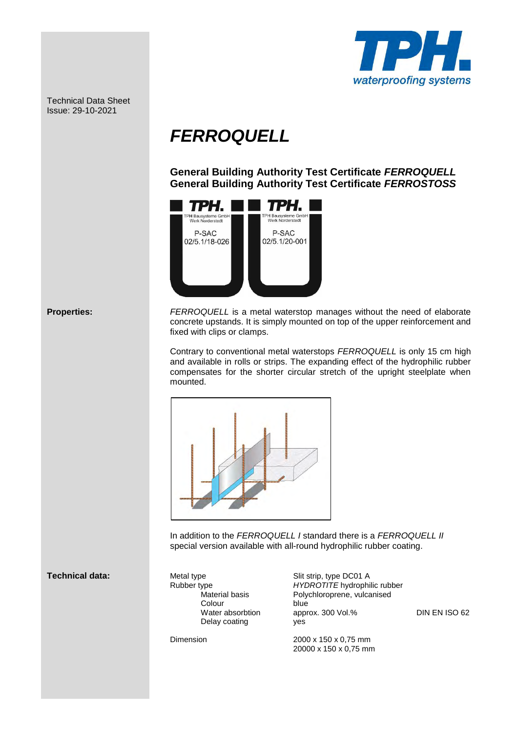

Technical Data Sheet Issue: 29-10-2021

# *FERROQUELL*

 **General Building Authority Test Certificate** *FERROQUELL*  **General Building Authority Test Certificate** *FERROSTOSS*



**Properties:** *FERROQUELL* is a metal waterstop manages without the need of elaborate concrete upstands. It is simply mounted on top of the upper reinforcement and fixed with clips or clamps.

> Contrary to conventional metal waterstops *FERROQUELL* is only 15 cm high and available in rolls or strips. The expanding effect of the hydrophilic rubber compensates for the shorter circular stretch of the upright steelplate when mounted.



In addition to the *FERROQUELL I* standard there is a *FERROQUELL II* special version available with all-round hydrophilic rubber coating.

## **Technical data:** Metal type Slit strip, type DC01 A

**Colour blue blue blue blue blue blue Colour blue blue blue** Delay coating **yes** 

 Rubber type *HYDROTITE* hydrophilic rubber Material basis Polychloroprene, vulcanised<br>Colour blue Water absorbtion approx. 300 Vol.% DIN EN ISO 62

 Dimension 2000 x 150 x 0,75 mm 20000 x 150 x 0,75 mm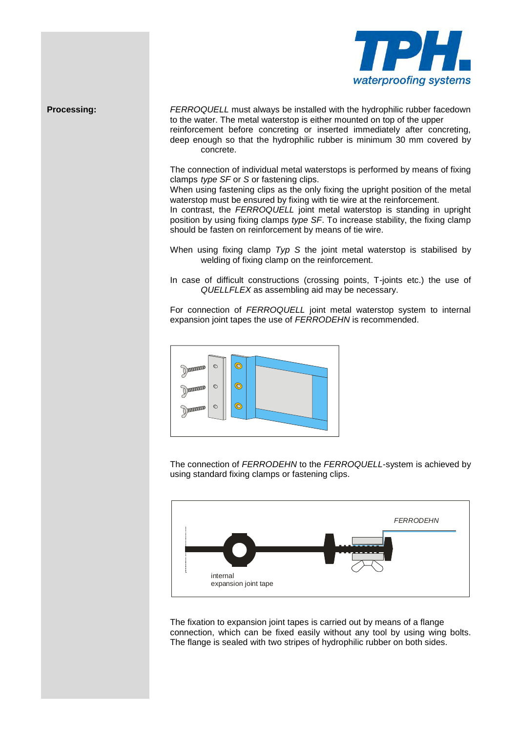

**Processing:** *FERROQUELL* must always be installed with the hydrophilic rubber facedown to the water. The metal waterstop is either mounted on top of the upper reinforcement before concreting or inserted immediately after concreting, deep enough so that the hydrophilic rubber is minimum 30 mm covered by concrete.

> The connection of individual metal waterstops is performed by means of fixing clamps *type SF* or *S* or fastening clips.

> When using fastening clips as the only fixing the upright position of the metal waterstop must be ensured by fixing with tie wire at the reinforcement.

> In contrast, the **FERROQUELL** joint metal waterstop is standing in upright position by using fixing clamps *type SF*. To increase stability, the fixing clamp should be fasten on reinforcement by means of tie wire.

> When using fixing clamp *Typ S* the joint metal waterstop is stabilised by welding of fixing clamp on the reinforcement.

> In case of difficult constructions (crossing points, T-joints etc.) the use of *QUELLFLEX* as assembling aid may be necessary.

> For connection of *FERROQUELL* joint metal waterstop system to internal expansion joint tapes the use of *FERRODEHN* is recommended.



 The connection of *FERRODEHN* to the *FERROQUELL*-system is achieved by using standard fixing clamps or fastening clips.



 The fixation to expansion joint tapes is carried out by means of a flange connection, which can be fixed easily without any tool by using wing bolts. The flange is sealed with two stripes of hydrophilic rubber on both sides.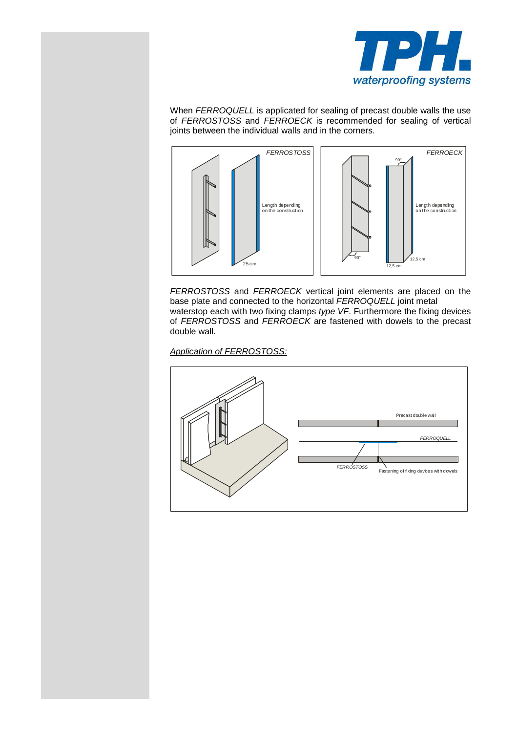

 When *FERROQUELL* is applicated for sealing of precast double walls the use of *FERROSTOSS* and *FERROECK* is recommended for sealing of vertical joints between the individual walls and in the corners.



 *FERROSTOSS* and *FERROECK* vertical joint elements are placed on the base plate and connected to the horizontal *FERROQUELL* joint metal waterstop each with two fixing clamps *type VF*. Furthermore the fixing devices of *FERROSTOSS* and *FERROECK* are fastened with dowels to the precast double wall.

## *Application of FERROSTOSS:*

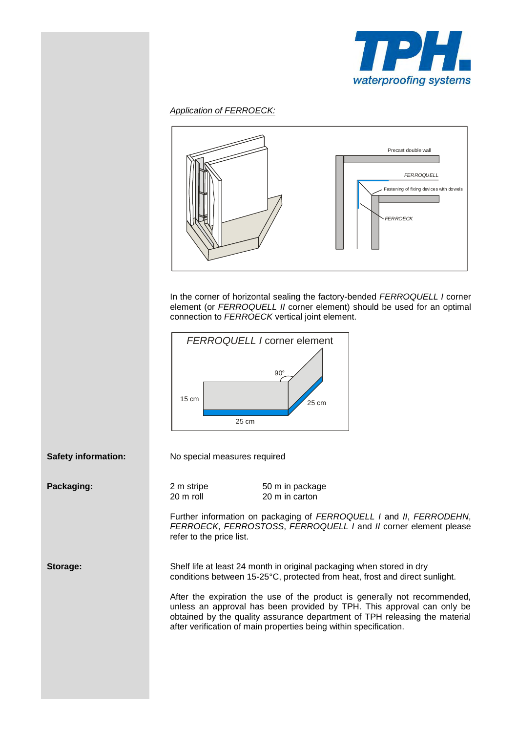

#### *Application of FERROECK:*



 In the corner of horizontal sealing the factory-bended *FERROQUELL I* corner element (or *FERROQUELL II* corner element) should be used for an optimal connection to *FERROECK* vertical joint element.



**Safety information:** No special measures required

**Packaging:** 2 m stripe 50 m in package 20 m roll 20 m in carton

> Further information on packaging of *FERROQUELL I* and *II*, *FERRODEHN*, *FERROECK*, *FERROSTOSS*, *FERROQUELL I* and *II* corner element please refer to the price list.

**Storage:** Shelf life at least 24 month in original packaging when stored in dry conditions between 15-25°C, protected from heat, frost and direct sunlight.

> After the expiration the use of the product is generally not recommended, unless an approval has been provided by TPH. This approval can only be obtained by the quality assurance department of TPH releasing the material after verification of main properties being within specification.